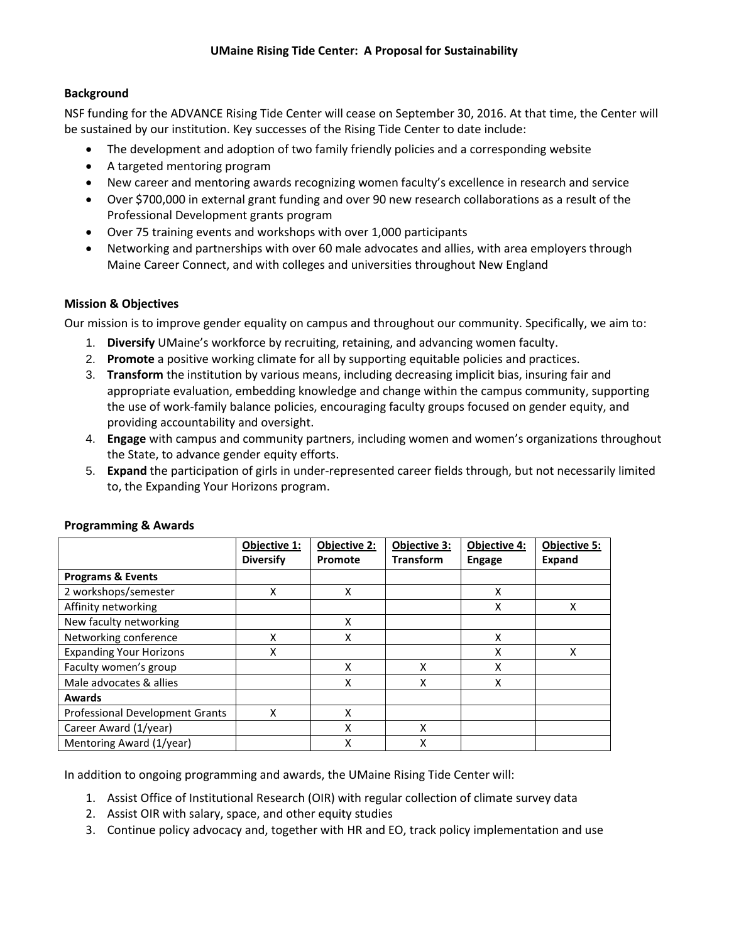# **Background**

NSF funding for the ADVANCE Rising Tide Center will cease on September 30, 2016. At that time, the Center will be sustained by our institution. Key successes of the Rising Tide Center to date include:

- The development and adoption of two family friendly policies and a corresponding website
- A targeted mentoring program
- New career and mentoring awards recognizing women faculty's excellence in research and service
- Over \$700,000 in external grant funding and over 90 new research collaborations as a result of the Professional Development grants program
- Over 75 training events and workshops with over 1,000 participants
- Networking and partnerships with over 60 male advocates and allies, with area employers through Maine Career Connect, and with colleges and universities throughout New England

## **Mission & Objectives**

Our mission is to improve gender equality on campus and throughout our community. Specifically, we aim to:

- 1. **Diversify** UMaine's workforce by recruiting, retaining, and advancing women faculty.
- 2. **Promote** a positive working climate for all by supporting equitable policies and practices.
- 3. **Transform** the institution by various means, including decreasing implicit bias, insuring fair and appropriate evaluation, embedding knowledge and change within the campus community, supporting the use of work-family balance policies, encouraging faculty groups focused on gender equity, and providing accountability and oversight.
- 4. **Engage** with campus and community partners, including women and women's organizations throughout the State, to advance gender equity efforts.
- 5. **Expand** the participation of girls in under-represented career fields through, but not necessarily limited to, the Expanding Your Horizons program.

|                                        | Objective 1:<br><b>Diversify</b> | Objective 2:<br>Promote | Objective 3:<br><b>Transform</b> | <b>Objective 4:</b><br><b>Engage</b> | <b>Objective 5:</b><br><b>Expand</b> |
|----------------------------------------|----------------------------------|-------------------------|----------------------------------|--------------------------------------|--------------------------------------|
| <b>Programs &amp; Events</b>           |                                  |                         |                                  |                                      |                                      |
| 2 workshops/semester                   | X                                | X                       |                                  | X                                    |                                      |
| Affinity networking                    |                                  |                         |                                  | Χ                                    | Χ                                    |
| New faculty networking                 |                                  | X                       |                                  |                                      |                                      |
| Networking conference                  | x                                | x                       |                                  | X                                    |                                      |
| <b>Expanding Your Horizons</b>         | X                                |                         |                                  | X                                    | x                                    |
| Faculty women's group                  |                                  | X                       | x                                | X                                    |                                      |
| Male advocates & allies                |                                  | x                       | Χ                                | X                                    |                                      |
| <b>Awards</b>                          |                                  |                         |                                  |                                      |                                      |
| <b>Professional Development Grants</b> | x                                | X                       |                                  |                                      |                                      |
| Career Award (1/year)                  |                                  | x                       | x                                |                                      |                                      |
| Mentoring Award (1/year)               |                                  | Χ                       | Χ                                |                                      |                                      |

## **Programming & Awards**

In addition to ongoing programming and awards, the UMaine Rising Tide Center will:

- 1. Assist Office of Institutional Research (OIR) with regular collection of climate survey data
- 2. Assist OIR with salary, space, and other equity studies
- 3. Continue policy advocacy and, together with HR and EO, track policy implementation and use